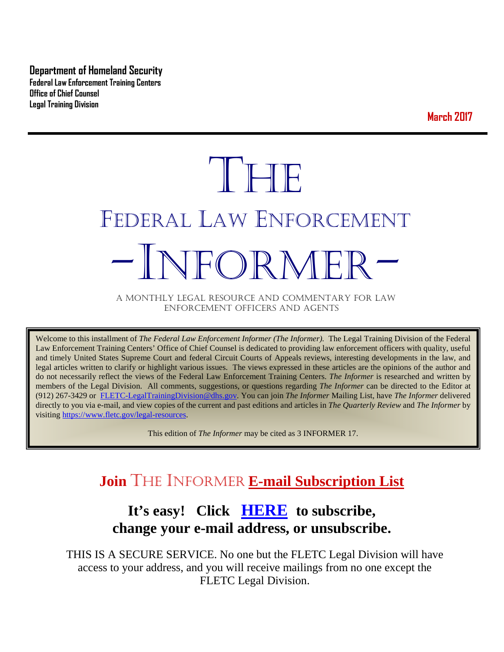**Department of Homeland Security Federal Law Enforcement Training Centers Office of Chief Counsel Legal Training Division** 

**March 2017**

# THE FEDERAL LAW ENFORCEMENT -INFORMER- A MONTHLY LEGAL RESOURCE AND COMMENTARY FOR LAW

ENFORCEMENT OFFICERS AND AGENTS

Welcome to this installment of *The Federal Law Enforcement Informer (The Informer).* The Legal Training Division of the Federal Law Enforcement Training Centers' Office of Chief Counsel is dedicated to providing law enforcement officers with quality, useful and timely United States Supreme Court and federal Circuit Courts of Appeals reviews, interesting developments in the law, and legal articles written to clarify or highlight various issues. The views expressed in these articles are the opinions of the author and do not necessarily reflect the views of the Federal Law Enforcement Training Centers. *The Informer* is researched and written by members of the Legal Division. All comments, suggestions, or questions regarding *The Informer* can be directed to the Editor at (912) 267-3429 or [FLETC-LegalTrainingDivision@dhs.gov.](mailto:FLETC-LegalTrainingDivision@dhs.gov) You can join *The Informer* Mailing List, have *The Informer* delivered directly to you via e-mail, and view copies of the current and past editions and articles in *The Quarterly Review* and *The Informer* by visiting [https://www.fletc.gov/legal-resources.](https://www.fletc.gov/legal-resources) 

This edition of *The Informer* may be cited as 3 INFORMER 17.

# **Join** THE INFORMER **E-mail Subscription List**

# **It's easy! Click [HERE](http://peach.ease.lsoft.com/scripts/wa.exe?SUBED1=fletclgd&A=1) to subscribe, change your e-mail address, or unsubscribe.**

THIS IS A SECURE SERVICE. No one but the FLETC Legal Division will have access to your address, and you will receive mailings from no one except the FLETC Legal Division.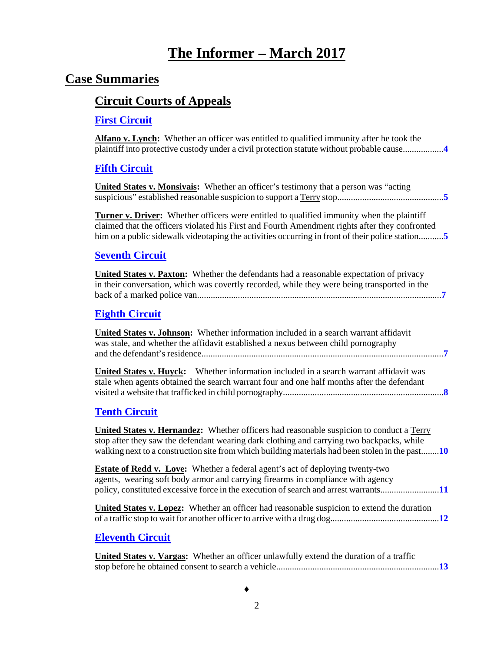# **The Informer – March <sup>2017</sup>**

# **Case Summaries**

# **[Circuit Courts of Appeals](#page-3-0)**

### **[First Circuit](#page-3-1)**

| <b>Alfano v. Lynch:</b> Whether an officer was entitled to qualified immunity after he took the<br>plaintiff into protective custody under a civil protection statute without probable cause4                                                                                                        |
|------------------------------------------------------------------------------------------------------------------------------------------------------------------------------------------------------------------------------------------------------------------------------------------------------|
| <b>Fifth Circuit</b>                                                                                                                                                                                                                                                                                 |
| <b>United States v. Monsivals:</b> Whether an officer's testimony that a person was "acting"                                                                                                                                                                                                         |
| <b>Turner v. Driver:</b> Whether officers were entitled to qualified immunity when the plaintiff<br>claimed that the officers violated his First and Fourth Amendment rights after they confronted<br>him on a public sidewalk videotaping the activities occurring in front of their police station |
| <b>Seventh Circuit</b>                                                                                                                                                                                                                                                                               |
| United States v. Paxton: Whether the defendants had a reasonable expectation of privacy<br>in their conversation, which was covertly recorded, while they were being transported in the                                                                                                              |
| <b>Eighth Circuit</b>                                                                                                                                                                                                                                                                                |
| <b>United States v. Johnson:</b> Whether information included in a search warrant affidavit<br>was stale, and whether the affidavit established a nexus between child pornography                                                                                                                    |
| <b>United States v. Huyck:</b> Whether information included in a search warrant affidavit was<br>stale when agents obtained the search warrant four and one half months after the defendant                                                                                                          |
| <b>Tenth Circuit</b>                                                                                                                                                                                                                                                                                 |
| <b>United States v. Hernandez:</b> Whether officers had reasonable suspicion to conduct a Terry<br>stop after they saw the defendant wearing dark clothing and carrying two backpacks, while<br>walking next to a construction site from which building materials had been stolen in the past10      |
| <b>Estate of Redd v. Love:</b> Whether a federal agent's act of deploying twenty-two<br>agents, wearing soft body armor and carrying firearms in compliance with agency<br>policy, constituted excessive force in the execution of search and arrest warrants11                                      |
| <b>United States v. Lopez:</b> Whether an officer had reasonable suspicion to extend the duration                                                                                                                                                                                                    |
| <b>Eleventh Circuit</b>                                                                                                                                                                                                                                                                              |
| <b>TEMPLE CONTRACTES AND ARRANGEMENT COMPONENT COMPONENT COMPONENT COMPONENT COMPONENT COMPONENT COMPONENT COMPONENT COMPONENT COMPONENT COMPONENT COMPONENT COMPONENT COMPONENT COMPONENT COMPONENT COMPONENT COMPONENT COMPONE</b><br>$\mathbf{r}$ , $\mathbf{r}$ , $\mathbf{r}$ , $\mathbf{r}$    |

 **United States v. Vargas:** Whether an officer unlawfully extend the duration of a traffic stop before he obtained consent to search a vehicle........................................................................**[13](#page-12-1)**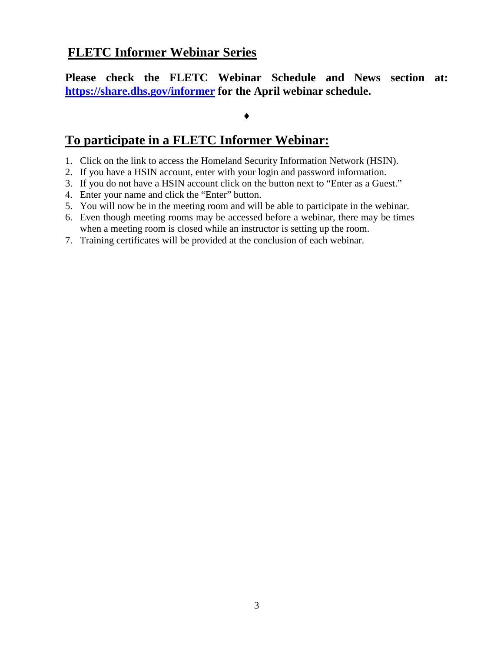# **FLETC Informer Webinar Series**

**Please check the FLETC Webinar Schedule and News section at: <https://share.dhs.gov/informer> for the April webinar schedule.**

#### ♦

## **To participate in a FLETC Informer Webinar:**

- 1. Click on the link to access the Homeland Security Information Network (HSIN).
- 2. If you have a HSIN account, enter with your login and password information.
- 3. If you do not have a HSIN account click on the button next to "Enter as a Guest."
- 4. Enter your name and click the "Enter" button.
- 5. You will now be in the meeting room and will be able to participate in the webinar.
- 6. Even though meeting rooms may be accessed before a webinar, there may be times when a meeting room is closed while an instructor is setting up the room.
- 7. Training certificates will be provided at the conclusion of each webinar.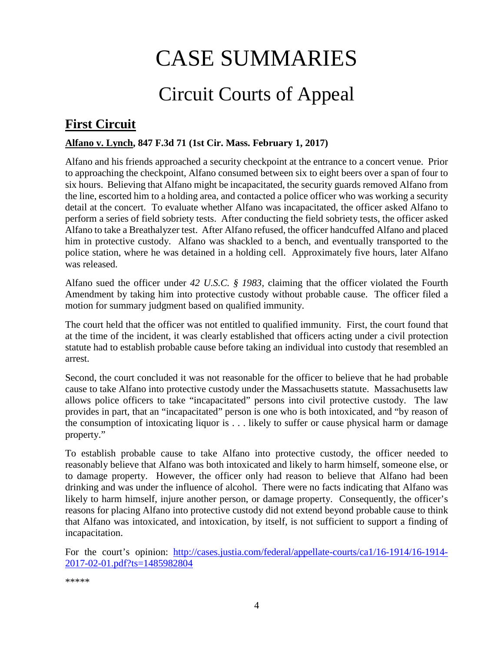# CASE SUMMARIES

# Circuit Courts of Appeal

# <span id="page-3-1"></span><span id="page-3-0"></span>**First Circuit**

#### <span id="page-3-2"></span>**Alfano v. Lynch, 847 F.3d 71 (1st Cir. Mass. February 1, 2017)**

Alfano and his friends approached a security checkpoint at the entrance to a concert venue. Prior to approaching the checkpoint, Alfano consumed between six to eight beers over a span of four to six hours. Believing that Alfano might be incapacitated, the security guards removed Alfano from the line, escorted him to a holding area, and contacted a police officer who was working a security detail at the concert. To evaluate whether Alfano was incapacitated, the officer asked Alfano to perform a series of field sobriety tests. After conducting the field sobriety tests, the officer asked Alfano to take a Breathalyzer test. After Alfano refused, the officer handcuffed Alfano and placed him in protective custody. Alfano was shackled to a bench, and eventually transported to the police station, where he was detained in a holding cell. Approximately five hours, later Alfano was released.

Alfano sued the officer under *42 U.S.C. § 1983*, claiming that the officer violated the Fourth Amendment by taking him into protective custody without probable cause. The officer filed a motion for summary judgment based on qualified immunity.

The court held that the officer was not entitled to qualified immunity. First, the court found that at the time of the incident, it was clearly established that officers acting under a civil protection statute had to establish probable cause before taking an individual into custody that resembled an arrest.

Second, the court concluded it was not reasonable for the officer to believe that he had probable cause to take Alfano into protective custody under the Massachusetts statute. Massachusetts law allows police officers to take "incapacitated" persons into civil protective custody. The law provides in part, that an "incapacitated" person is one who is both intoxicated, and "by reason of the consumption of intoxicating liquor is . . . likely to suffer or cause physical harm or damage property."

To establish probable cause to take Alfano into protective custody, the officer needed to reasonably believe that Alfano was both intoxicated and likely to harm himself, someone else, or to damage property. However, the officer only had reason to believe that Alfano had been drinking and was under the influence of alcohol. There were no facts indicating that Alfano was likely to harm himself, injure another person, or damage property. Consequently, the officer's reasons for placing Alfano into protective custody did not extend beyond probable cause to think that Alfano was intoxicated, and intoxication, by itself, is not sufficient to support a finding of incapacitation.

For the court's opinion: [http://cases.justia.com/federal/appellate-courts/ca1/16-1914/16-1914-](http://cases.justia.com/federal/appellate-courts/ca1/16-1914/16-1914-2017-02-01.pdf?ts=1485982804) [2017-02-01.pdf?ts=1485982804](http://cases.justia.com/federal/appellate-courts/ca1/16-1914/16-1914-2017-02-01.pdf?ts=1485982804)

\*\*\*\*\*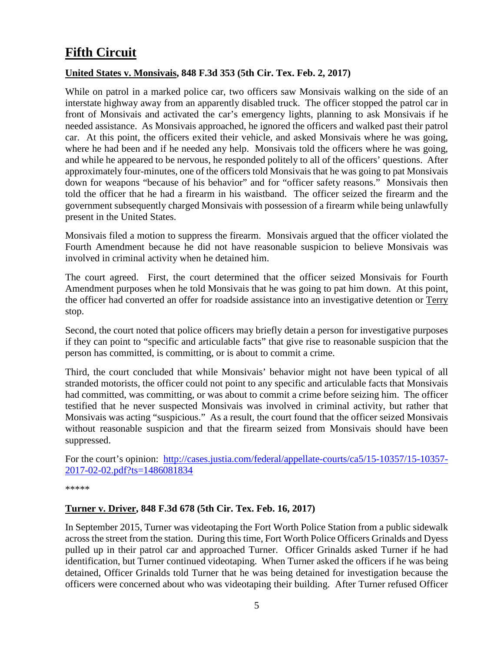# <span id="page-4-0"></span>**Fifth Circuit**

#### <span id="page-4-1"></span>**United States v. Monsivais, 848 F.3d 353 (5th Cir. Tex. Feb. 2, 2017)**

While on patrol in a marked police car, two officers saw Monsivais walking on the side of an interstate highway away from an apparently disabled truck. The officer stopped the patrol car in front of Monsivais and activated the car's emergency lights, planning to ask Monsivais if he needed assistance. As Monsivais approached, he ignored the officers and walked past their patrol car. At this point, the officers exited their vehicle, and asked Monsivais where he was going, where he had been and if he needed any help. Monsivais told the officers where he was going, and while he appeared to be nervous, he responded politely to all of the officers' questions. After approximately four-minutes, one of the officers told Monsivais that he was going to pat Monsivais down for weapons "because of his behavior" and for "officer safety reasons." Monsivais then told the officer that he had a firearm in his waistband. The officer seized the firearm and the government subsequently charged Monsivais with possession of a firearm while being unlawfully present in the United States.

Monsivais filed a motion to suppress the firearm. Monsivais argued that the officer violated the Fourth Amendment because he did not have reasonable suspicion to believe Monsivais was involved in criminal activity when he detained him.

The court agreed. First, the court determined that the officer seized Monsivais for Fourth Amendment purposes when he told Monsivais that he was going to pat him down. At this point, the officer had converted an offer for roadside assistance into an investigative detention or Terry stop.

Second, the court noted that police officers may briefly detain a person for investigative purposes if they can point to "specific and articulable facts" that give rise to reasonable suspicion that the person has committed, is committing, or is about to commit a crime.

Third, the court concluded that while Monsivais' behavior might not have been typical of all stranded motorists, the officer could not point to any specific and articulable facts that Monsivais had committed, was committing, or was about to commit a crime before seizing him. The officer testified that he never suspected Monsivais was involved in criminal activity, but rather that Monsivais was acting "suspicious." As a result, the court found that the officer seized Monsivais without reasonable suspicion and that the firearm seized from Monsivais should have been suppressed.

For the court's opinion: [http://cases.justia.com/federal/appellate-courts/ca5/15-10357/15-10357-](http://cases.justia.com/federal/appellate-courts/ca5/15-10357/15-10357-2017-02-02.pdf?ts=1486081834) [2017-02-02.pdf?ts=1486081834](http://cases.justia.com/federal/appellate-courts/ca5/15-10357/15-10357-2017-02-02.pdf?ts=1486081834)

\*\*\*\*\*

#### <span id="page-4-2"></span>**Turner v. Driver, 848 F.3d 678 (5th Cir. Tex. Feb. 16, 2017)**

In September 2015, Turner was videotaping the Fort Worth Police Station from a public sidewalk across the street from the station. During this time, Fort Worth Police Officers Grinalds and Dyess pulled up in their patrol car and approached Turner. Officer Grinalds asked Turner if he had identification, but Turner continued videotaping. When Turner asked the officers if he was being detained, Officer Grinalds told Turner that he was being detained for investigation because the officers were concerned about who was videotaping their building. After Turner refused Officer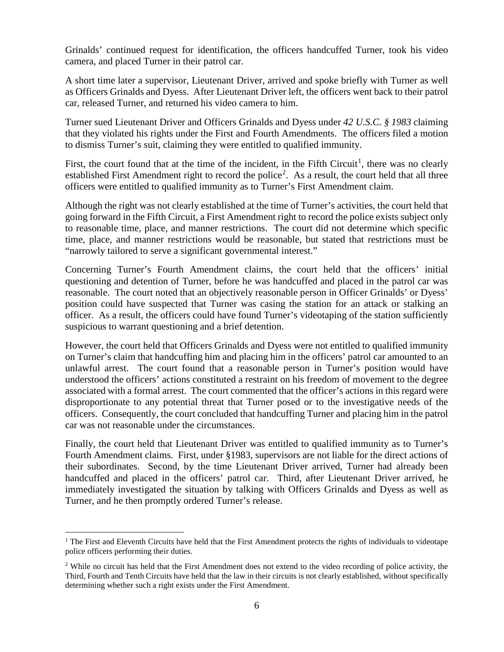Grinalds' continued request for identification, the officers handcuffed Turner, took his video camera, and placed Turner in their patrol car.

A short time later a supervisor, Lieutenant Driver, arrived and spoke briefly with Turner as well as Officers Grinalds and Dyess. After Lieutenant Driver left, the officers went back to their patrol car, released Turner, and returned his video camera to him.

Turner sued Lieutenant Driver and Officers Grinalds and Dyess under *42 U.S.C. § 1983* claiming that they violated his rights under the First and Fourth Amendments. The officers filed a motion to dismiss Turner's suit, claiming they were entitled to qualified immunity.

First, the court found that at the time of the incident, in the Fifth Circuit<sup>[1](#page-5-0)</sup>, there was no clearly established First Amendment right to record the police<sup>[2](#page-5-1)</sup>. As a result, the court held that all three officers were entitled to qualified immunity as to Turner's First Amendment claim.

Although the right was not clearly established at the time of Turner's activities, the court held that going forward in the Fifth Circuit, a First Amendment right to record the police exists subject only to reasonable time, place, and manner restrictions. The court did not determine which specific time, place, and manner restrictions would be reasonable, but stated that restrictions must be "narrowly tailored to serve a significant governmental interest."

Concerning Turner's Fourth Amendment claims, the court held that the officers' initial questioning and detention of Turner, before he was handcuffed and placed in the patrol car was reasonable. The court noted that an objectively reasonable person in Officer Grinalds' or Dyess' position could have suspected that Turner was casing the station for an attack or stalking an officer. As a result, the officers could have found Turner's videotaping of the station sufficiently suspicious to warrant questioning and a brief detention.

However, the court held that Officers Grinalds and Dyess were not entitled to qualified immunity on Turner's claim that handcuffing him and placing him in the officers' patrol car amounted to an unlawful arrest. The court found that a reasonable person in Turner's position would have understood the officers' actions constituted a restraint on his freedom of movement to the degree associated with a formal arrest. The court commented that the officer's actions in this regard were disproportionate to any potential threat that Turner posed or to the investigative needs of the officers. Consequently, the court concluded that handcuffing Turner and placing him in the patrol car was not reasonable under the circumstances.

Finally, the court held that Lieutenant Driver was entitled to qualified immunity as to Turner's Fourth Amendment claims. First, under §1983, supervisors are not liable for the direct actions of their subordinates. Second, by the time Lieutenant Driver arrived, Turner had already been handcuffed and placed in the officers' patrol car. Third, after Lieutenant Driver arrived, he immediately investigated the situation by talking with Officers Grinalds and Dyess as well as Turner, and he then promptly ordered Turner's release.

<span id="page-5-0"></span><sup>&</sup>lt;sup>1</sup> The First and Eleventh Circuits have held that the First Amendment protects the rights of individuals to videotape police officers performing their duties.

<span id="page-5-1"></span><sup>&</sup>lt;sup>2</sup> While no circuit has held that the First Amendment does not extend to the video recording of police activity, the Third, Fourth and Tenth Circuits have held that the law in their circuits is not clearly established, without specifically determining whether such a right exists under the First Amendment.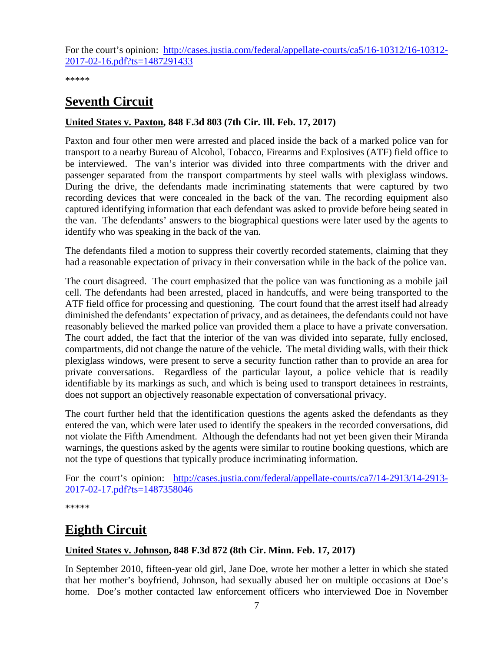For the court's opinion: [http://cases.justia.com/federal/appellate-courts/ca5/16-10312/16-10312-](http://cases.justia.com/federal/appellate-courts/ca5/16-10312/16-10312-2017-02-16.pdf?ts=1487291433) [2017-02-16.pdf?ts=1487291433](http://cases.justia.com/federal/appellate-courts/ca5/16-10312/16-10312-2017-02-16.pdf?ts=1487291433)

\*\*\*\*\*

# <span id="page-6-0"></span>**Seventh Circuit**

#### <span id="page-6-1"></span>**United States v. Paxton, 848 F.3d 803 (7th Cir. Ill. Feb. 17, 2017)**

Paxton and four other men were arrested and placed inside the back of a marked police van for transport to a nearby Bureau of Alcohol, Tobacco, Firearms and Explosives (ATF) field office to be interviewed. The van's interior was divided into three compartments with the driver and passenger separated from the transport compartments by steel walls with plexiglass windows. During the drive, the defendants made incriminating statements that were captured by two recording devices that were concealed in the back of the van. The recording equipment also captured identifying information that each defendant was asked to provide before being seated in the van. The defendants' answers to the biographical questions were later used by the agents to identify who was speaking in the back of the van.

The defendants filed a motion to suppress their covertly recorded statements, claiming that they had a reasonable expectation of privacy in their conversation while in the back of the police van.

The court disagreed. The court emphasized that the police van was functioning as a mobile jail cell. The defendants had been arrested, placed in handcuffs, and were being transported to the ATF field office for processing and questioning. The court found that the arrest itself had already diminished the defendants' expectation of privacy, and as detainees, the defendants could not have reasonably believed the marked police van provided them a place to have a private conversation. The court added, the fact that the interior of the van was divided into separate, fully enclosed, compartments, did not change the nature of the vehicle. The metal dividing walls, with their thick plexiglass windows, were present to serve a security function rather than to provide an area for private conversations. Regardless of the particular layout, a police vehicle that is readily identifiable by its markings as such, and which is being used to transport detainees in restraints, does not support an objectively reasonable expectation of conversational privacy.

The court further held that the identification questions the agents asked the defendants as they entered the van, which were later used to identify the speakers in the recorded conversations, did not violate the Fifth Amendment. Although the defendants had not yet been given their Miranda warnings, the questions asked by the agents were similar to routine booking questions, which are not the type of questions that typically produce incriminating information.

For the court's opinion: [http://cases.justia.com/federal/appellate-courts/ca7/14-2913/14-2913-](http://cases.justia.com/federal/appellate-courts/ca7/14-2913/14-2913-2017-02-17.pdf?ts=1487358046) [2017-02-17.pdf?ts=1487358046](http://cases.justia.com/federal/appellate-courts/ca7/14-2913/14-2913-2017-02-17.pdf?ts=1487358046)

\*\*\*\*\*

# <span id="page-6-2"></span>**Eighth Circuit**

#### <span id="page-6-3"></span>**United States v. Johnson, 848 F.3d 872 (8th Cir. Minn. Feb. 17, 2017)**

In September 2010, fifteen-year old girl, Jane Doe, wrote her mother a letter in which she stated that her mother's boyfriend, Johnson, had sexually abused her on multiple occasions at Doe's home. Doe's mother contacted law enforcement officers who interviewed Doe in November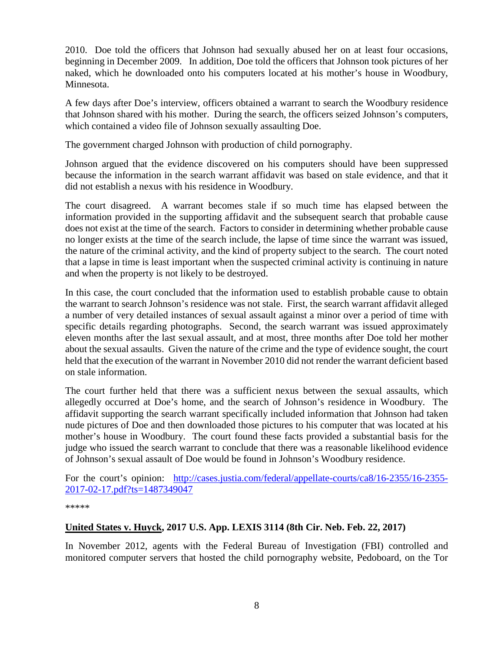2010. Doe told the officers that Johnson had sexually abused her on at least four occasions, beginning in December 2009. In addition, Doe told the officers that Johnson took pictures of her naked, which he downloaded onto his computers located at his mother's house in Woodbury, Minnesota.

A few days after Doe's interview, officers obtained a warrant to search the Woodbury residence that Johnson shared with his mother. During the search, the officers seized Johnson's computers, which contained a video file of Johnson sexually assaulting Doe.

The government charged Johnson with production of child pornography.

Johnson argued that the evidence discovered on his computers should have been suppressed because the information in the search warrant affidavit was based on stale evidence, and that it did not establish a nexus with his residence in Woodbury.

The court disagreed. A warrant becomes stale if so much time has elapsed between the information provided in the supporting affidavit and the subsequent search that probable cause does not exist at the time of the search. Factors to consider in determining whether probable cause no longer exists at the time of the search include, the lapse of time since the warrant was issued, the nature of the criminal activity, and the kind of property subject to the search. The court noted that a lapse in time is least important when the suspected criminal activity is continuing in nature and when the property is not likely to be destroyed.

In this case, the court concluded that the information used to establish probable cause to obtain the warrant to search Johnson's residence was not stale. First, the search warrant affidavit alleged a number of very detailed instances of sexual assault against a minor over a period of time with specific details regarding photographs. Second, the search warrant was issued approximately eleven months after the last sexual assault, and at most, three months after Doe told her mother about the sexual assaults. Given the nature of the crime and the type of evidence sought, the court held that the execution of the warrant in November 2010 did not render the warrant deficient based on stale information.

The court further held that there was a sufficient nexus between the sexual assaults, which allegedly occurred at Doe's home, and the search of Johnson's residence in Woodbury. The affidavit supporting the search warrant specifically included information that Johnson had taken nude pictures of Doe and then downloaded those pictures to his computer that was located at his mother's house in Woodbury. The court found these facts provided a substantial basis for the judge who issued the search warrant to conclude that there was a reasonable likelihood evidence of Johnson's sexual assault of Doe would be found in Johnson's Woodbury residence.

For the court's opinion: [http://cases.justia.com/federal/appellate-courts/ca8/16-2355/16-2355-](http://cases.justia.com/federal/appellate-courts/ca8/16-2355/16-2355-2017-02-17.pdf?ts=1487349047) [2017-02-17.pdf?ts=1487349047](http://cases.justia.com/federal/appellate-courts/ca8/16-2355/16-2355-2017-02-17.pdf?ts=1487349047)

\*\*\*\*\*

#### <span id="page-7-0"></span>**United States v. Huyck, 2017 U.S. App. LEXIS 3114 (8th Cir. Neb. Feb. 22, 2017)**

In November 2012, agents with the Federal Bureau of Investigation (FBI) controlled and monitored computer servers that hosted the child pornography website, Pedoboard, on the Tor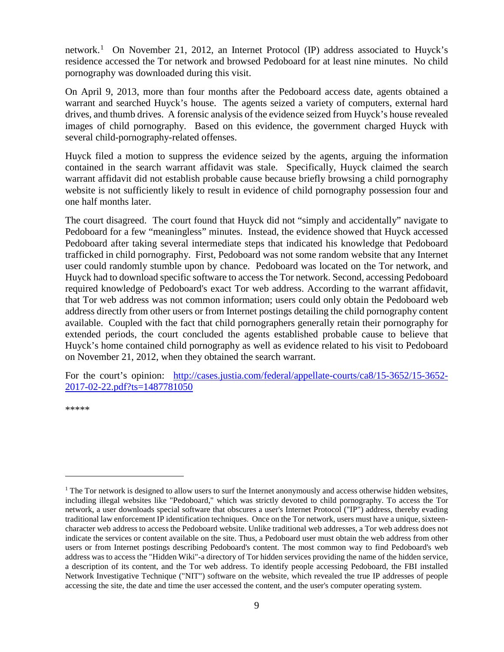network.<sup>[1](#page-8-1)</sup> On November 21, 2012, an Internet Protocol (IP) address associated to Huyck's residence accessed the Tor network and browsed Pedoboard for at least nine minutes. No child pornography was downloaded during this visit.

On April 9, 2013, more than four months after the Pedoboard access date, agents obtained a warrant and searched Huyck's house. The agents seized a variety of computers, external hard drives, and thumb drives. A forensic analysis of the evidence seized from Huyck's house revealed images of child pornography. Based on this evidence, the government charged Huyck with several child-pornography-related offenses.

Huyck filed a motion to suppress the evidence seized by the agents, arguing the information contained in the search warrant affidavit was stale. Specifically, Huyck claimed the search warrant affidavit did not establish probable cause because briefly browsing a child pornography website is not sufficiently likely to result in evidence of child pornography possession four and one half months later.

The court disagreed. The court found that Huyck did not "simply and accidentally" navigate to Pedoboard for a few "meaningless" minutes. Instead, the evidence showed that Huyck accessed Pedoboard after taking several intermediate steps that indicated his knowledge that Pedoboard trafficked in child pornography. First, Pedoboard was not some random website that any Internet user could randomly stumble upon by chance. Pedoboard was located on the Tor network, and Huyck had to download specific software to access the Tor network. Second, accessing Pedoboard required knowledge of Pedoboard's exact Tor web address. According to the warrant affidavit, that Tor web address was not common information; users could only obtain the Pedoboard web address directly from other users or from Internet postings detailing the child pornography content available.Coupled with the fact that child pornographers generally retain their pornography for extended periods, the court concluded the agents established probable cause to believe that Huyck's home contained child pornography as well as evidence related to his visit to Pedoboard on November 21, 2012, when they obtained the search warrant.

For the court's opinion: [http://cases.justia.com/federal/appellate-courts/ca8/15-3652/15-3652-](http://cases.justia.com/federal/appellate-courts/ca8/15-3652/15-3652-2017-02-22.pdf?ts=1487781050) [2017-02-22.pdf?ts=1487781050](http://cases.justia.com/federal/appellate-courts/ca8/15-3652/15-3652-2017-02-22.pdf?ts=1487781050)

<span id="page-8-0"></span>\*\*\*\*\*

 $\overline{a}$ 

<span id="page-8-1"></span> $<sup>1</sup>$  The Tor network is designed to allow users to surf the Internet anonymously and access otherwise hidden websites,</sup> including illegal websites like "Pedoboard," which was strictly devoted to child pornography. To access the Tor network, a user downloads special software that obscures a user's Internet Protocol ("IP") address, thereby evading traditional law enforcement IP identification techniques. Once on the Tor network, users must have a unique, sixteencharacter web address to access the Pedoboard website. Unlike traditional web addresses, a Tor web address does not indicate the services or content available on the site. Thus, a Pedoboard user must obtain the web address from other users or from Internet postings describing Pedoboard's content. The most common way to find Pedoboard's web address was to access the "Hidden Wiki"-a directory of Tor hidden services providing the name of the hidden service, a description of its content, and the Tor web address. To identify people accessing Pedoboard, the FBI installed Network Investigative Technique ("NIT") software on the website, which revealed the true IP addresses of people accessing the site, the date and time the user accessed the content, and the user's computer operating system.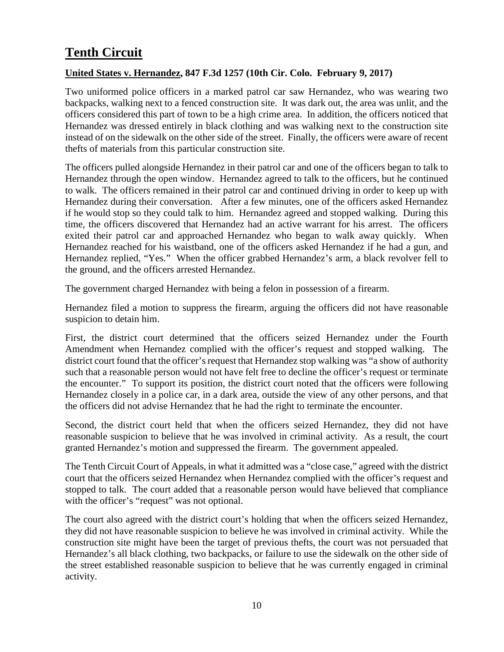# **Tenth Circuit**

#### <span id="page-9-0"></span>**United States v. Hernandez, 847 F.3d 1257 (10th Cir. Colo. February 9, 2017)**

Two uniformed police officers in a marked patrol car saw Hernandez, who was wearing two backpacks, walking next to a fenced construction site. It was dark out, the area was unlit, and the officers considered this part of town to be a high crime area. In addition, the officers noticed that Hernandez was dressed entirely in black clothing and was walking next to the construction site instead of on the sidewalk on the other side of the street. Finally, the officers were aware of recent thefts of materials from this particular construction site.

The officers pulled alongside Hernandez in their patrol car and one of the officers began to talk to Hernandez through the open window. Hernandez agreed to talk to the officers, but he continued to walk. The officers remained in their patrol car and continued driving in order to keep up with Hernandez during their conversation. After a few minutes, one of the officers asked Hernandez if he would stop so they could talk to him. Hernandez agreed and stopped walking. During this time, the officers discovered that Hernandez had an active warrant for his arrest. The officers exited their patrol car and approached Hernandez who began to walk away quickly. When Hernandez reached for his waistband, one of the officers asked Hernandez if he had a gun, and Hernandez replied, "Yes." When the officer grabbed Hernandez's arm, a black revolver fell to the ground, and the officers arrested Hernandez.

The government charged Hernandez with being a felon in possession of a firearm.

Hernandez filed a motion to suppress the firearm, arguing the officers did not have reasonable suspicion to detain him.

First, the district court determined that the officers seized Hernandez under the Fourth Amendment when Hernandez complied with the officer's request and stopped walking. The district court found that the officer's request that Hernandez stop walking was "a show of authority such that a reasonable person would not have felt free to decline the officer's request or terminate the encounter." To support its position, the district court noted that the officers were following Hernandez closely in a police car, in a dark area, outside the view of any other persons, and that the officers did not advise Hernandez that he had the right to terminate the encounter.

Second, the district court held that when the officers seized Hernandez, they did not have reasonable suspicion to believe that he was involved in criminal activity. As a result, the court granted Hernandez's motion and suppressed the firearm. The government appealed.

The Tenth Circuit Court of Appeals, in what it admitted was a "close case," agreed with the district court that the officers seized Hernandez when Hernandez complied with the officer's request and stopped to talk. The court added that a reasonable person would have believed that compliance with the officer's "request" was not optional.

The court also agreed with the district court's holding that when the officers seized Hernandez, they did not have reasonable suspicion to believe he was involved in criminal activity. While the construction site might have been the target of previous thefts, the court was not persuaded that Hernandez's all black clothing, two backpacks, or failure to use the sidewalk on the other side of the street established reasonable suspicion to believe that he was currently engaged in criminal activity.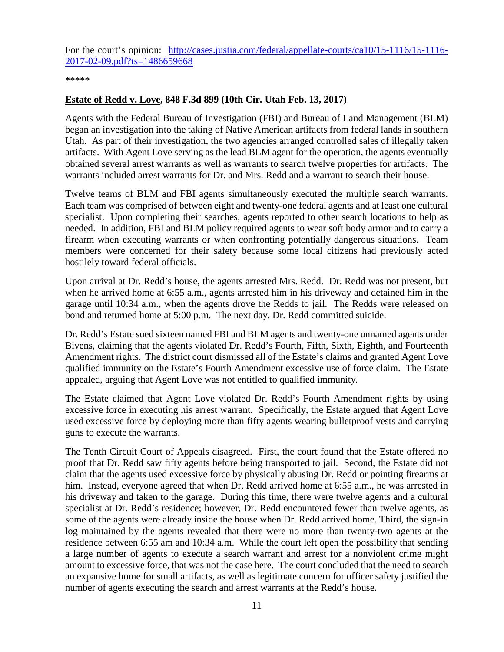For the court's opinion: [http://cases.justia.com/federal/appellate-courts/ca10/15-1116/15-1116-](http://cases.justia.com/federal/appellate-courts/ca10/15-1116/15-1116-2017-02-09.pdf?ts=1486659668) [2017-02-09.pdf?ts=1486659668](http://cases.justia.com/federal/appellate-courts/ca10/15-1116/15-1116-2017-02-09.pdf?ts=1486659668)

#### \*\*\*\*\*

#### <span id="page-10-0"></span>**Estate of Redd v. Love, 848 F.3d 899 (10th Cir. Utah Feb. 13, 2017)**

Agents with the Federal Bureau of Investigation (FBI) and Bureau of Land Management (BLM) began an investigation into the taking of Native American artifacts from federal lands in southern Utah. As part of their investigation, the two agencies arranged controlled sales of illegally taken artifacts. With Agent Love serving as the lead BLM agent for the operation, the agents eventually obtained several arrest warrants as well as warrants to search twelve properties for artifacts. The warrants included arrest warrants for Dr. and Mrs. Redd and a warrant to search their house.

Twelve teams of BLM and FBI agents simultaneously executed the multiple search warrants. Each team was comprised of between eight and twenty-one federal agents and at least one cultural specialist. Upon completing their searches, agents reported to other search locations to help as needed. In addition, FBI and BLM policy required agents to wear soft body armor and to carry a firearm when executing warrants or when confronting potentially dangerous situations. Team members were concerned for their safety because some local citizens had previously acted hostilely toward federal officials.

Upon arrival at Dr. Redd's house, the agents arrested Mrs. Redd. Dr. Redd was not present, but when he arrived home at 6:55 a.m., agents arrested him in his driveway and detained him in the garage until 10:34 a.m., when the agents drove the Redds to jail. The Redds were released on bond and returned home at 5:00 p.m. The next day, Dr. Redd committed suicide.

Dr. Redd's Estate sued sixteen named FBI and BLM agents and twenty-one unnamed agents under Bivens, claiming that the agents violated Dr. Redd's Fourth, Fifth, Sixth, Eighth, and Fourteenth Amendment rights. The district court dismissed all of the Estate's claims and granted Agent Love qualified immunity on the Estate's Fourth Amendment excessive use of force claim. The Estate appealed, arguing that Agent Love was not entitled to qualified immunity.

The Estate claimed that Agent Love violated Dr. Redd's Fourth Amendment rights by using excessive force in executing his arrest warrant. Specifically, the Estate argued that Agent Love used excessive force by deploying more than fifty agents wearing bulletproof vests and carrying guns to execute the warrants.

The Tenth Circuit Court of Appeals disagreed. First, the court found that the Estate offered no proof that Dr. Redd saw fifty agents before being transported to jail. Second, the Estate did not claim that the agents used excessive force by physically abusing Dr. Redd or pointing firearms at him. Instead, everyone agreed that when Dr. Redd arrived home at 6:55 a.m., he was arrested in his driveway and taken to the garage. During this time, there were twelve agents and a cultural specialist at Dr. Redd's residence; however, Dr. Redd encountered fewer than twelve agents, as some of the agents were already inside the house when Dr. Redd arrived home. Third, the sign-in log maintained by the agents revealed that there were no more than twenty-two agents at the residence between 6:55 am and 10:34 a.m. While the court left open the possibility that sending a large number of agents to execute a search warrant and arrest for a nonviolent crime might amount to excessive force, that was not the case here. The court concluded that the need to search an expansive home for small artifacts, as well as legitimate concern for officer safety justified the number of agents executing the search and arrest warrants at the Redd's house.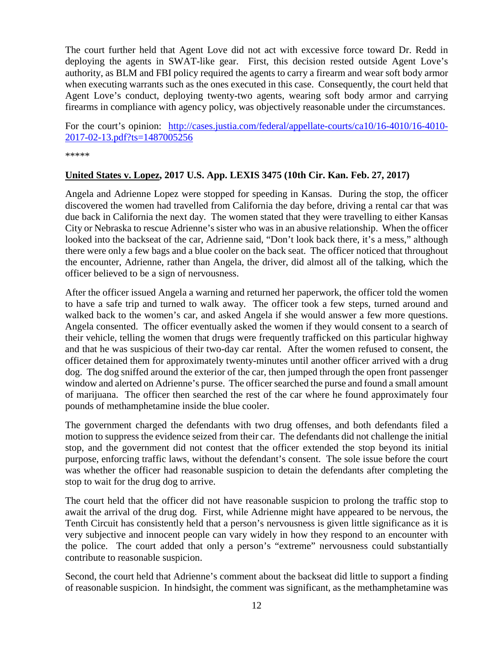The court further held that Agent Love did not act with excessive force toward Dr. Redd in deploying the agents in SWAT-like gear. First, this decision rested outside Agent Love's authority, as BLM and FBI policy required the agents to carry a firearm and wear soft body armor when executing warrants such as the ones executed in this case. Consequently, the court held that Agent Love's conduct, deploying twenty-two agents, wearing soft body armor and carrying firearms in compliance with agency policy, was objectively reasonable under the circumstances.

For the court's opinion: [http://cases.justia.com/federal/appellate-courts/ca10/16-4010/16-4010-](http://cases.justia.com/federal/appellate-courts/ca10/16-4010/16-4010-2017-02-13.pdf?ts=1487005256) [2017-02-13.pdf?ts=1487005256](http://cases.justia.com/federal/appellate-courts/ca10/16-4010/16-4010-2017-02-13.pdf?ts=1487005256)

\*\*\*\*\*

#### <span id="page-11-0"></span>**United States v. Lopez, 2017 U.S. App. LEXIS 3475 (10th Cir. Kan. Feb. 27, 2017)**

Angela and Adrienne Lopez were stopped for speeding in Kansas. During the stop, the officer discovered the women had travelled from California the day before, driving a rental car that was due back in California the next day. The women stated that they were travelling to either Kansas City or Nebraska to rescue Adrienne's sister who was in an abusive relationship. When the officer looked into the backseat of the car, Adrienne said, "Don't look back there, it's a mess," although there were only a few bags and a blue cooler on the back seat. The officer noticed that throughout the encounter, Adrienne, rather than Angela, the driver, did almost all of the talking, which the officer believed to be a sign of nervousness.

After the officer issued Angela a warning and returned her paperwork, the officer told the women to have a safe trip and turned to walk away. The officer took a few steps, turned around and walked back to the women's car, and asked Angela if she would answer a few more questions. Angela consented. The officer eventually asked the women if they would consent to a search of their vehicle, telling the women that drugs were frequently trafficked on this particular highway and that he was suspicious of their two-day car rental. After the women refused to consent, the officer detained them for approximately twenty-minutes until another officer arrived with a drug dog. The dog sniffed around the exterior of the car, then jumped through the open front passenger window and alerted on Adrienne's purse. The officer searched the purse and found a small amount of marijuana. The officer then searched the rest of the car where he found approximately four pounds of methamphetamine inside the blue cooler.

The government charged the defendants with two drug offenses, and both defendants filed a motion to suppress the evidence seized from their car. The defendants did not challenge the initial stop, and the government did not contest that the officer extended the stop beyond its initial purpose, enforcing traffic laws, without the defendant's consent. The sole issue before the court was whether the officer had reasonable suspicion to detain the defendants after completing the stop to wait for the drug dog to arrive.

The court held that the officer did not have reasonable suspicion to prolong the traffic stop to await the arrival of the drug dog. First, while Adrienne might have appeared to be nervous, the Tenth Circuit has consistently held that a person's nervousness is given little significance as it is very subjective and innocent people can vary widely in how they respond to an encounter with the police. The court added that only a person's "extreme" nervousness could substantially contribute to reasonable suspicion.

Second, the court held that Adrienne's comment about the backseat did little to support a finding of reasonable suspicion. In hindsight, the comment was significant, as the methamphetamine was